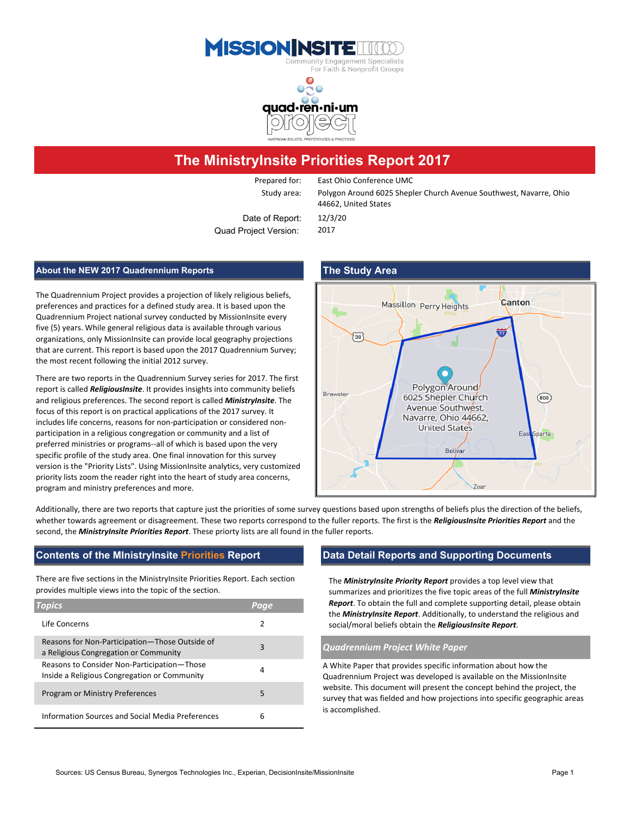



# **The MinistryInsite Priorities Report 2017**

Prepared for: East Ohio Conference UMC

Study area: Polygon Around 6025 Shepler Church Avenue Southwest, Navarre, Ohio 44662, United States

Date of Report: 12/3/20 Quad Project Version: 2017

### **About the NEW 2017 Quadrennium Reports The Study Area**

The Quadrennium Project provides a projection of likely religious beliefs, preferences and practices for a defined study area. It is based upon the Quadrennium Project national survey conducted by MissionInsite every five (5) years. While general religious data is available through various organizations, only MissionInsite can provide local geography projections that are current. This report is based upon the 2017 Quadrennium Survey; the most recent following the initial 2012 survey.

There are two reports in the Quadrennium Survey series for 2017. The first report is called *ReligiousInsite*. It provides insights into community beliefs and religious preferences. The second report is called *MinistryInsite*. The focus of this report is on practical applications of the 2017 survey. It includes life concerns, reasons for non-participation or considered nonparticipation in a religious congregation or community and a list of preferred ministries or programs--all of which is based upon the very specific profile of the study area. One final innovation for this survey version is the "Priority Lists". Using MissionInsite analytics, very customized priority lists zoom the reader right into the heart of study area concerns, program and ministry preferences and more.

# Canton Massillon Perry Heights ₩  $\widetilde{30}$ Polygon Around Brewster 6025 Shepler Church  $(800)$ Avenue Southwest, Navarre, Ohio 44662, **United States** Bolivar Zoar

Additionally, there are two reports that capture just the priorities of some survey questions based upon strengths of beliefs plus the direction of the beliefs, whether towards agreement or disagreement. These two reports correspond to the fuller reports. The first is the *ReligiousInsite Priorities Report* and the second, the *MinistryInsite Priorities Report*. These priorty lists are all found in the fuller reports.

### **Contents of the MInistryInsite Priorities Report Data Detail Reports and Supporting Documents**

There are five sections in the MinistryInsite Priorities Report. Each section provides multiple views into the topic of the section.

| <b>Topics</b>                                                                               | Paae          |
|---------------------------------------------------------------------------------------------|---------------|
| Life Concerns                                                                               | $\mathcal{P}$ |
| Reasons for Non-Participation-Those Outside of<br>a Religious Congregation or Community     | 3             |
| Reasons to Consider Non-Participation-Those<br>Inside a Religious Congregation or Community | 4             |
| Program or Ministry Preferences                                                             | 5             |
| Information Sources and Social Media Preferences                                            | 6             |

The *MinistryInsite Priority Report* provides a top level view that summarizes and prioritizes the five topic areas of the full *MinistryInsite Report*. To obtain the full and complete supporting detail, please obtain the *MinistryInsite Report*. Additionally, to understand the religious and social/moral beliefs obtain the *ReligiousInsite Report*.

#### <sup>a</sup> Religious Congregation or Community <sup>3</sup> *Quadrennium Project White Paper*

A White Paper that provides specific information about how the Quadrennium Project was developed is available on the MissionInsite website. This document will present the concept behind the project, the survey that was fielded and how projections into specific geographic areas is accomplished.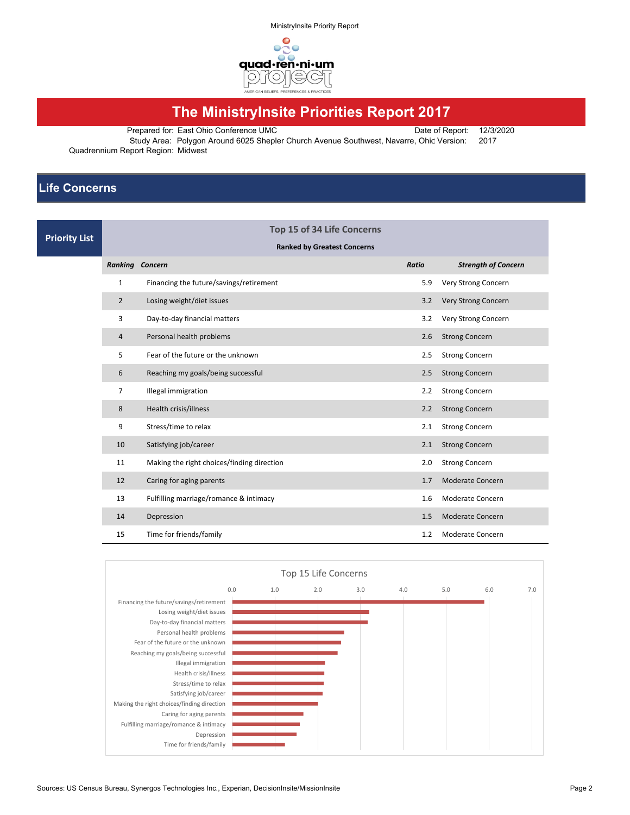

# **The MinistryInsite Priorities Report 2017**

Prepared for: East Ohio Conference UMC Date of Report: 12/3/2020

Study Area: Polygon Around 6025 Shepler Church Avenue Southwest, Navarre, Ohic Version: 2017 Quadrennium Report Region: Midwest

## **Life Concerns**

| <b>Priority List</b> | Top 15 of 34 Life Concerns         |                                            |       |                            |  |  |  |  |  |  |
|----------------------|------------------------------------|--------------------------------------------|-------|----------------------------|--|--|--|--|--|--|
|                      | <b>Ranked by Greatest Concerns</b> |                                            |       |                            |  |  |  |  |  |  |
|                      | <b>Ranking Concern</b>             |                                            | Ratio | <b>Strength of Concern</b> |  |  |  |  |  |  |
|                      | $\mathbf{1}$                       | Financing the future/savings/retirement    | 5.9   | Very Strong Concern        |  |  |  |  |  |  |
|                      | $\overline{2}$                     | Losing weight/diet issues                  | 3.2   | Very Strong Concern        |  |  |  |  |  |  |
|                      | 3                                  | Day-to-day financial matters               | 3.2   | Very Strong Concern        |  |  |  |  |  |  |
|                      | 4                                  | Personal health problems                   | 2.6   | <b>Strong Concern</b>      |  |  |  |  |  |  |
|                      | 5                                  | Fear of the future or the unknown          | 2.5   | <b>Strong Concern</b>      |  |  |  |  |  |  |
|                      | 6                                  | Reaching my goals/being successful         | 2.5   | <b>Strong Concern</b>      |  |  |  |  |  |  |
|                      | 7                                  | Illegal immigration                        | 2.2   | <b>Strong Concern</b>      |  |  |  |  |  |  |
|                      | 8                                  | Health crisis/illness                      | 2.2   | <b>Strong Concern</b>      |  |  |  |  |  |  |
|                      | 9                                  | Stress/time to relax                       |       | <b>Strong Concern</b>      |  |  |  |  |  |  |
|                      | 10                                 | Satisfying job/career                      | 2.1   | <b>Strong Concern</b>      |  |  |  |  |  |  |
|                      | 11                                 | Making the right choices/finding direction | 2.0   | <b>Strong Concern</b>      |  |  |  |  |  |  |
|                      | 12                                 | Caring for aging parents                   |       | <b>Moderate Concern</b>    |  |  |  |  |  |  |
|                      | 13                                 | Fulfilling marriage/romance & intimacy     |       | Moderate Concern           |  |  |  |  |  |  |
|                      | 14                                 | Depression                                 | 1.5   | Moderate Concern           |  |  |  |  |  |  |
|                      | 15                                 | Time for friends/family                    | 1.2   | <b>Moderate Concern</b>    |  |  |  |  |  |  |

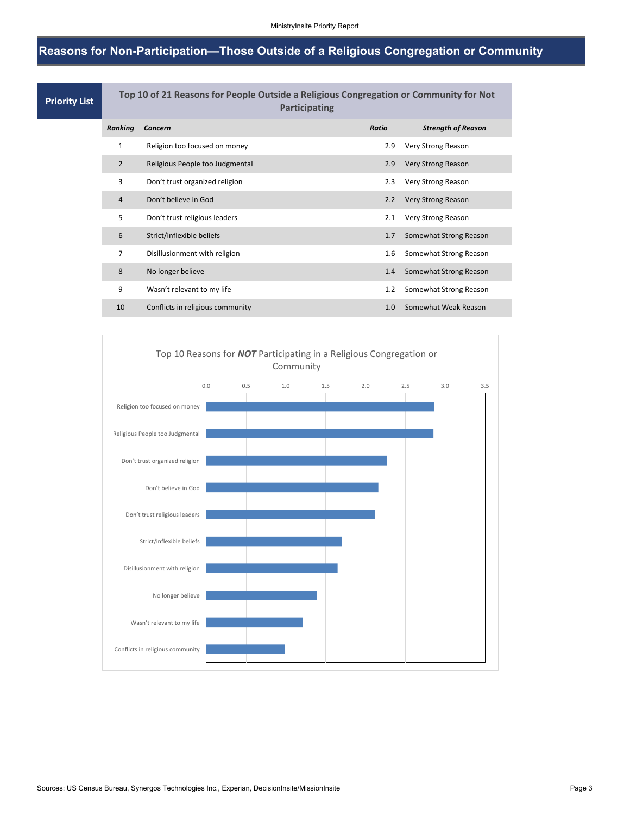## **Reasons for Non-Participation—Those Outside of a Religious Congregation or Community**

| <b>Priority List</b> | Top 10 of 21 Reasons for People Outside a Religious Congregation or Community for Not<br><b>Participating</b> |                                  |       |                           |  |  |  |  |
|----------------------|---------------------------------------------------------------------------------------------------------------|----------------------------------|-------|---------------------------|--|--|--|--|
|                      | Ranking                                                                                                       | Concern                          | Ratio | <b>Strength of Reason</b> |  |  |  |  |
|                      | 1                                                                                                             | Religion too focused on money    | 2.9   | Very Strong Reason        |  |  |  |  |
|                      | $\overline{2}$                                                                                                | Religious People too Judgmental  | 2.9   | <b>Very Strong Reason</b> |  |  |  |  |
|                      | 3                                                                                                             | Don't trust organized religion   | 2.3   | Very Strong Reason        |  |  |  |  |
|                      | 4                                                                                                             | Don't believe in God             | 2.2   | Very Strong Reason        |  |  |  |  |
|                      | 5                                                                                                             | Don't trust religious leaders    | 2.1   | Very Strong Reason        |  |  |  |  |
|                      | 6                                                                                                             | Strict/inflexible beliefs        | 1.7   | Somewhat Strong Reason    |  |  |  |  |
|                      | $\overline{7}$                                                                                                | Disillusionment with religion    | 1.6   | Somewhat Strong Reason    |  |  |  |  |
|                      | 8                                                                                                             | No longer believe                | 1.4   | Somewhat Strong Reason    |  |  |  |  |
|                      | 9                                                                                                             | Wasn't relevant to my life       | 1.2   | Somewhat Strong Reason    |  |  |  |  |
|                      | 10                                                                                                            | Conflicts in religious community | 1.0   | Somewhat Weak Reason      |  |  |  |  |

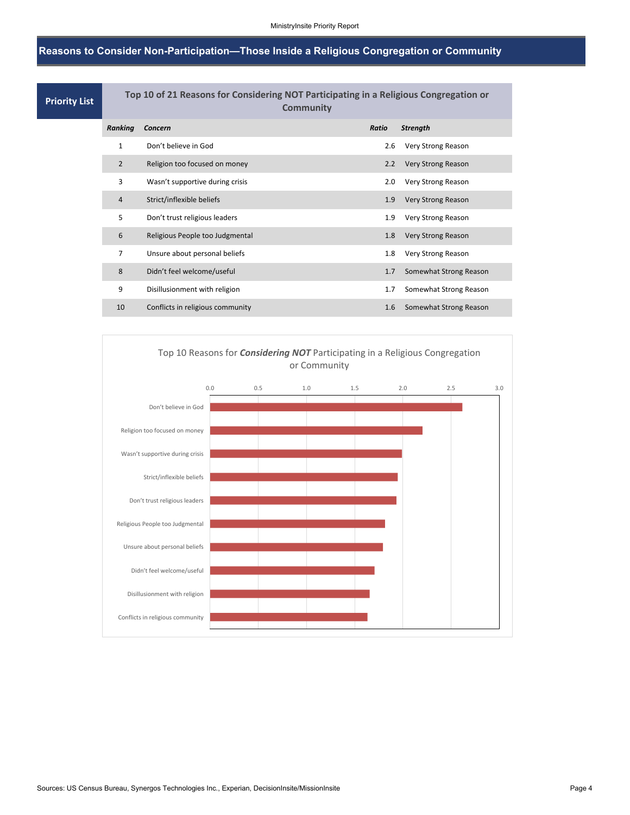## **Reasons to Consider Non-Participation—Those Inside a Religious Congregation or Community**

| <b>Priority List</b> | Top 10 of 21 Reasons for Considering NOT Participating in a Religious Congregation or<br><b>Community</b> |                                  |       |                           |  |  |  |  |
|----------------------|-----------------------------------------------------------------------------------------------------------|----------------------------------|-------|---------------------------|--|--|--|--|
|                      | Ranking                                                                                                   | Concern                          | Ratio | <b>Strength</b>           |  |  |  |  |
|                      | 1                                                                                                         | Don't believe in God             | 2.6   | Very Strong Reason        |  |  |  |  |
|                      | $\overline{2}$                                                                                            | Religion too focused on money    | 2.2   | Very Strong Reason        |  |  |  |  |
|                      | 3                                                                                                         | Wasn't supportive during crisis  | 2.0   | Very Strong Reason        |  |  |  |  |
|                      | 4                                                                                                         | Strict/inflexible beliefs        | 1.9   | Very Strong Reason        |  |  |  |  |
|                      | 5                                                                                                         | Don't trust religious leaders    | 1.9   | Very Strong Reason        |  |  |  |  |
|                      | 6                                                                                                         | Religious People too Judgmental  | 1.8   | <b>Very Strong Reason</b> |  |  |  |  |
|                      | $\overline{7}$                                                                                            | Unsure about personal beliefs    | 1.8   | Very Strong Reason        |  |  |  |  |
|                      | 8                                                                                                         | Didn't feel welcome/useful       | 1.7   | Somewhat Strong Reason    |  |  |  |  |
|                      | 9                                                                                                         | Disillusionment with religion    | 1.7   | Somewhat Strong Reason    |  |  |  |  |
|                      | 10                                                                                                        | Conflicts in religious community | 1.6   | Somewhat Strong Reason    |  |  |  |  |
|                      |                                                                                                           |                                  |       |                           |  |  |  |  |

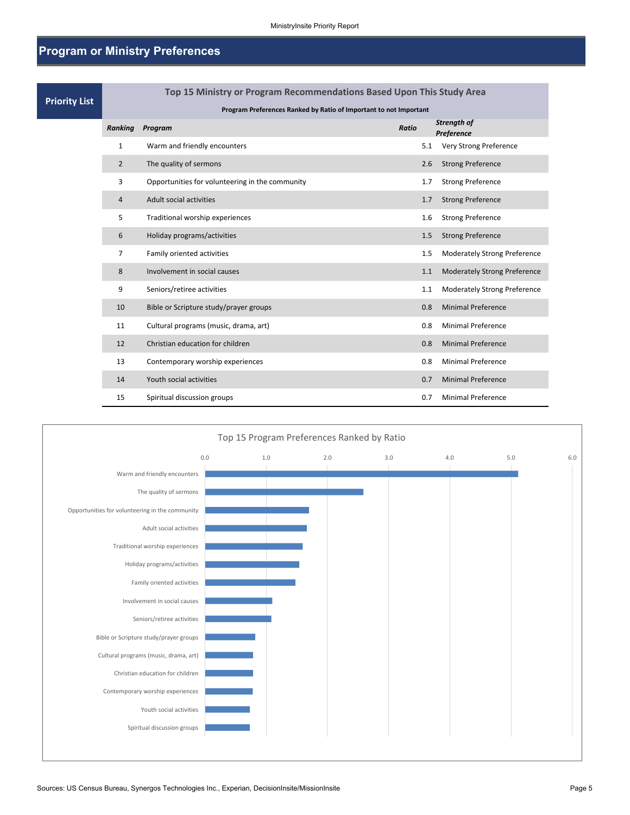## **Program or Ministry Preferences**

| <b>Priority List</b> | Top 15 Ministry or Program Recommendations Based Upon This Study Area |                                                 |              |                                     |  |  |  |  |  |  |
|----------------------|-----------------------------------------------------------------------|-------------------------------------------------|--------------|-------------------------------------|--|--|--|--|--|--|
|                      | Program Preferences Ranked by Ratio of Important to not Important     |                                                 |              |                                     |  |  |  |  |  |  |
|                      | Ranking                                                               | Program                                         | <b>Ratio</b> | Strength of<br>Preference           |  |  |  |  |  |  |
|                      | 1                                                                     | Warm and friendly encounters                    | 5.1          | Very Strong Preference              |  |  |  |  |  |  |
|                      | $\overline{2}$                                                        | The quality of sermons                          | 2.6          | <b>Strong Preference</b>            |  |  |  |  |  |  |
|                      | 3                                                                     | Opportunities for volunteering in the community | 1.7          | <b>Strong Preference</b>            |  |  |  |  |  |  |
|                      | 4                                                                     | Adult social activities                         | 1.7          | <b>Strong Preference</b>            |  |  |  |  |  |  |
|                      | 5                                                                     | Traditional worship experiences                 | 1.6          | <b>Strong Preference</b>            |  |  |  |  |  |  |
|                      | 6                                                                     | Holiday programs/activities                     | 1.5          | <b>Strong Preference</b>            |  |  |  |  |  |  |
|                      | $\overline{7}$                                                        | Family oriented activities                      | 1.5          | <b>Moderately Strong Preference</b> |  |  |  |  |  |  |
|                      | 8                                                                     | Involvement in social causes                    | 1.1          | <b>Moderately Strong Preference</b> |  |  |  |  |  |  |
|                      | 9                                                                     | Seniors/retiree activities                      | 1.1          | <b>Moderately Strong Preference</b> |  |  |  |  |  |  |
|                      | 10                                                                    | Bible or Scripture study/prayer groups          | 0.8          | <b>Minimal Preference</b>           |  |  |  |  |  |  |
|                      | 11                                                                    | Cultural programs (music, drama, art)           | 0.8          | <b>Minimal Preference</b>           |  |  |  |  |  |  |
|                      | 12                                                                    | Christian education for children                | 0.8          | <b>Minimal Preference</b>           |  |  |  |  |  |  |
|                      | 13                                                                    | Contemporary worship experiences                | 0.8          | <b>Minimal Preference</b>           |  |  |  |  |  |  |
|                      | 14                                                                    | Youth social activities                         | 0.7          | <b>Minimal Preference</b>           |  |  |  |  |  |  |
|                      | 15                                                                    | Spiritual discussion groups                     | 0.7          | <b>Minimal Preference</b>           |  |  |  |  |  |  |

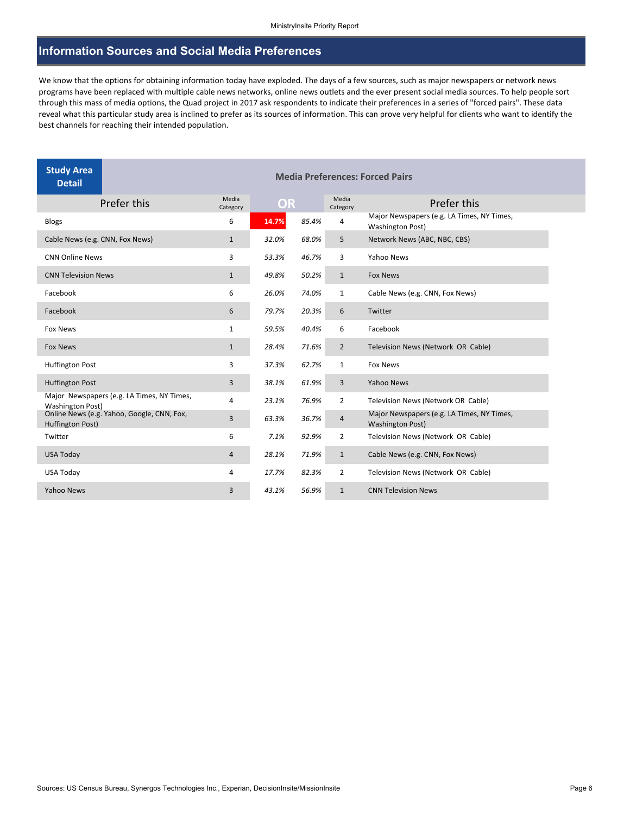## **Information Sources and Social Media Preferences**

We know that the options for obtaining information today have exploded. The days of a few sources, such as major newspapers or network news programs have been replaced with multiple cable news networks, online news outlets and the ever present social media sources. To help people sort through this mass of media options, the Quad project in 2017 ask respondents to indicate their preferences in a series of "forced pairs". These data reveal what this particular study area is inclined to prefer as its sources of information. This can prove very helpful for clients who want to identify the best channels for reaching their intended population.

| <b>Study Area</b><br><b>Detail</b>                                    | <b>Media Preferences: Forced Pairs</b> |           |       |                   |                                                                       |  |  |
|-----------------------------------------------------------------------|----------------------------------------|-----------|-------|-------------------|-----------------------------------------------------------------------|--|--|
| Prefer this                                                           | Media<br>Category                      | <b>OR</b> |       | Media<br>Category | Prefer this                                                           |  |  |
| <b>Blogs</b>                                                          | 6                                      | 14.7%     | 85.4% | 4                 | Major Newspapers (e.g. LA Times, NY Times,<br><b>Washington Post)</b> |  |  |
| Cable News (e.g. CNN, Fox News)                                       | $\mathbf{1}$                           | 32.0%     | 68.0% | 5                 | Network News (ABC, NBC, CBS)                                          |  |  |
| <b>CNN Online News</b>                                                | 3                                      | 53.3%     | 46.7% | 3                 | Yahoo News                                                            |  |  |
| <b>CNN Television News</b>                                            | $\mathbf{1}$                           | 49.8%     | 50.2% | $\mathbf{1}$      | <b>Fox News</b>                                                       |  |  |
| Facebook                                                              | 6                                      | 26.0%     | 74.0% | $\mathbf{1}$      | Cable News (e.g. CNN, Fox News)                                       |  |  |
| Facebook                                                              | 6                                      | 79.7%     | 20.3% | 6                 | Twitter                                                               |  |  |
| <b>Fox News</b>                                                       | $\mathbf{1}$                           | 59.5%     | 40.4% | 6                 | Facebook                                                              |  |  |
| <b>Fox News</b>                                                       | $\mathbf{1}$                           | 28.4%     | 71.6% | $\overline{2}$    | Television News (Network OR Cable)                                    |  |  |
| <b>Huffington Post</b>                                                | 3                                      | 37.3%     | 62.7% | $\mathbf{1}$      | <b>Fox News</b>                                                       |  |  |
| <b>Huffington Post</b>                                                | 3                                      | 38.1%     | 61.9% | 3                 | <b>Yahoo News</b>                                                     |  |  |
| Major Newspapers (e.g. LA Times, NY Times,<br><b>Washington Post)</b> | 4                                      | 23.1%     | 76.9% | $\overline{2}$    | Television News (Network OR Cable)                                    |  |  |
| Online News (e.g. Yahoo, Google, CNN, Fox,<br>Huffington Post)        | 3                                      | 63.3%     | 36.7% | $\overline{a}$    | Major Newspapers (e.g. LA Times, NY Times,<br><b>Washington Post)</b> |  |  |
| Twitter                                                               | 6                                      | 7.1%      | 92.9% | $\overline{2}$    | Television News (Network OR Cable)                                    |  |  |
| USA Today                                                             | 4                                      | 28.1%     | 71.9% | $\mathbf{1}$      | Cable News (e.g. CNN, Fox News)                                       |  |  |
| USA Today                                                             | 4                                      | 17.7%     | 82.3% | $\overline{2}$    | Television News (Network OR Cable)                                    |  |  |
| Yahoo News                                                            | 3                                      | 43.1%     | 56.9% | $\mathbf{1}$      | <b>CNN Television News</b>                                            |  |  |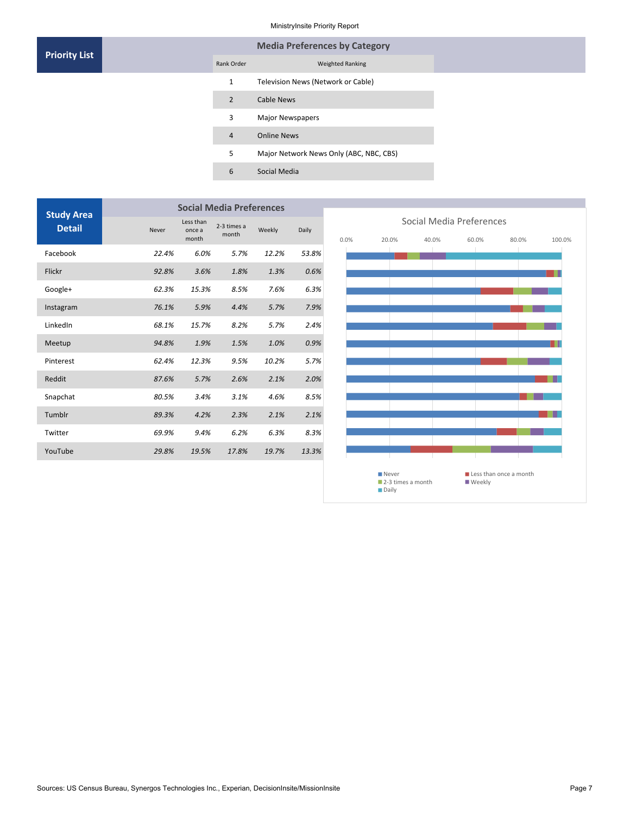#### MinistryInsite Priority Report

| <b>Priority List</b> |  |                | <b>Media Preferences by Category</b>    |
|----------------------|--|----------------|-----------------------------------------|
|                      |  | Rank Order     | <b>Weighted Ranking</b>                 |
|                      |  | 1              | Television News (Network or Cable)      |
|                      |  | $\overline{2}$ | <b>Cable News</b>                       |
|                      |  | 3              | <b>Major Newspapers</b>                 |
|                      |  | $\overline{4}$ | <b>Online News</b>                      |
|                      |  | 5              | Major Network News Only (ABC, NBC, CBS) |
|                      |  | 6              | Social Media                            |
|                      |  |                |                                         |

| <b>Study Area</b> | <b>Social Media Preferences</b> |                              |                      |        |       |  |  |
|-------------------|---------------------------------|------------------------------|----------------------|--------|-------|--|--|
| <b>Detail</b>     | Never                           | Less than<br>once a<br>month | 2-3 times a<br>month | Weekly | Daily |  |  |
| Facebook          | 22.4%                           | 6.0%                         | 5.7%                 | 12.2%  | 53.8% |  |  |
| Flickr            | 92.8%                           | 3.6%                         | 1.8%                 | 1.3%   | 0.6%  |  |  |
| Google+           | 62.3%                           | 15.3%                        | 8.5%                 | 7.6%   | 6.3%  |  |  |
| Instagram         | 76.1%                           | 5.9%                         | 4.4%                 | 5.7%   | 7.9%  |  |  |
| LinkedIn          | 68.1%                           | 15.7%                        | 8.2%                 | 5.7%   | 2.4%  |  |  |
| Meetup            | 94.8%                           | 1.9%                         | 1.5%                 | 1.0%   | 0.9%  |  |  |
| Pinterest         | 62.4%                           | 12.3%                        | 9.5%                 | 10.2%  | 5.7%  |  |  |
| Reddit            | 87.6%                           | 5.7%                         | 2.6%                 | 2.1%   | 2.0%  |  |  |
| Snapchat          | 80.5%                           | 3.4%                         | 3.1%                 | 4.6%   | 8.5%  |  |  |
| Tumblr            | 89.3%                           | 4.2%                         | 2.3%                 | 2.1%   | 2.1%  |  |  |
| Twitter           | 69.9%                           | 9.4%                         | 6.2%                 | 6.3%   | 8.3%  |  |  |
| YouTube           | 29.8%                           | 19.5%                        | 17.8%                | 19.7%  | 13.3% |  |  |
|                   |                                 |                              |                      |        |       |  |  |